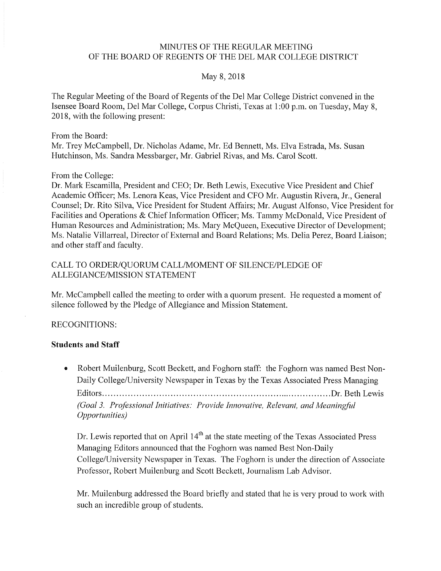#### MINUTES OF THE REGULAR MEETING OF THE BOARD OF REGENTS OF THE DEL MAR COLLEGE DISTRICT

#### May 8, 2018

The Regular Meeting of the Board of Regents of the Del Mar College District convened in the Isensee Board Room, Del Mar College, Corpus Christi, Texas at 1 :00 p.m. on Tuesday, May 8, 2018, with the following present:

From the Board: Mr. Trey McCampbell, Dr. Nicholas Adame, Mr. Ed Bennett, Ms. Elva Estrada, Ms. Susan Hutchinson, Ms. Sandra Messbarger, Mr. Gabriel Rivas, and Ms. Carol Scott.

#### From the College:

Dr. Mark Escamilla, President and CEO; Dr. Beth Lewis, Executive Vice President and Chief Academic Officer; Ms. Lenora Keas, Vice President and CFO Mr. Augustin Rivera, Jr., General Counsel; Dr. Rito Silva, Vice President for Student Affairs; Mr. August Alfonso, Vice President for Facilities and Operations & Chief Information Officer; Ms. Tammy McDonald, Vice President of Human Resources and Administration; Ms. Mary McQueen, Executive Director of Development; Ms. Natalie Villarreal, Director of External and Board Relations; Ms. Delia Perez, Board Liaison; and other staff and faculty.

#### CALL TO ORDER/QUORUM CALL/MOMENT OF SILENCE/PLEDGE OF ALLEGIANCE/MISSION STATEMENT

Mr. Mccampbell called the meeting to order with a quorum present. He requested a moment of silence followed by the Pledge of Allegiance and Mission Statement.

#### RECOGNITIONS:

#### **Students and Staff**

• Robert Muilenburg, Scott Beckett, and Foghorn staff: the Foghorn was named Best Non-Daily College/University Newspaper in Texas by the Texas Associated Press Managing Editors ................................................................................. Dr. Beth Lewis *(Goal 3. Professional Initiatives: Provide Innovative, Relevant, and Meaning/it! Opportunities)* 

Dr. Lewis reported that on April  $14<sup>th</sup>$  at the state meeting of the Texas Associated Press Managing Editors announced that the Foghorn was named Best Non-Daily College/University Newspaper in Texas. The Foghorn is under the direction of Associate Professor, Robert Muilenburg and Scott Beckett, Journalism Lab Advisor.

Mr. Muilenburg addressed the Board briefly and stated that he is very proud to work with such an incredible group of students.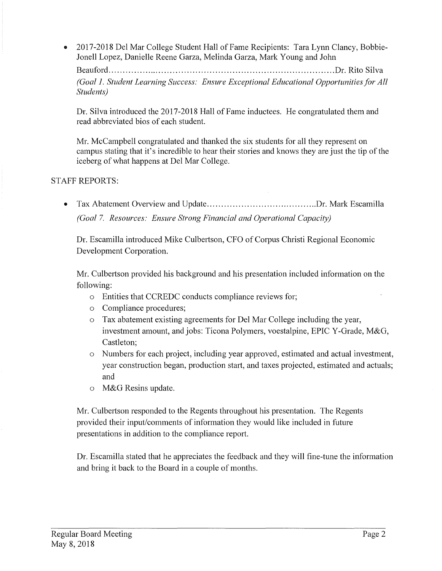• 2017-2018 Del Mar College Student Hall of Fame Recipients: Tara Lynn Clancy, Bobbie-Jonell Lopez, Danielle Reene Garza, Melinda Garza, Mark Young and John

Beauford ................................................................................ Dr. Rito Silva *(Goal 1. Student Learning Success: Ensure Exceptional Educational Opportunities for All Students)* 

Dr. Silva introduced the 2017-2018 Hall of Fame inductees. He congratulated them and read abbreviated bios of each student.

Mr. McCampbell congratulated and thanked the six students for all they represent on campus stating that it's incredible to hear their stories and knows they are just the tip of the iceberg of what happens at Del Mar College.

# STAFF REPORTS:

• Tax Abatement Overview and Update ....................................... Dr. Mark Escamilla *(Goal 7. Resources: Ensure Strong Financial and Operational Capacity)* 

Dr. Escamilla introduced Mike Culbertson, CFO of Corpus Christi Regional Economic Development Corporation.

Mr. Culbertson provided his background and his presentation included information on the following:

- o Entities that CCREDC conducts compliance reviews for;
- o Compliance procedures;
- o Tax abatement existing agreements for Del Mar College including the year, investment amount, and jobs: Ticona Polymers, voestalpine, EPIC Y-Grade, M&G, Castleton;
- o Numbers for each project, including year approved, estimated and actual investment, year construction began, production start, and taxes projected, estimated and actuals; and
- o M&G Resins update.

Mr. Culbertson responded to the Regents throughout his presentation. The Regents provided their input/comments of information they would like included in future presentations in addition to the compliance report.

Dr. Escamilla stated that he appreciates the feedback and they will fine-tune the information and bring it back to the Board in a couple of months.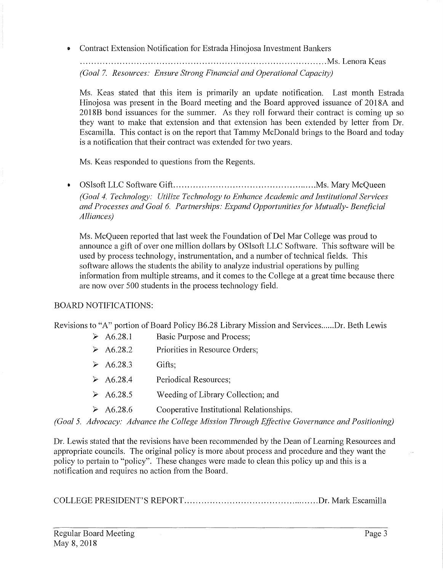• Contract Extension Notification for Estrada Hinojosa Investment Bankers

....................................................................................... Ms.Lenora Keas *(Goal* 7. *Resources: Ensure Strong flnancial and Operational Capacity)* 

Ms. Keas stated that this item is primarily an update notification. Last month Estrada Hinojosa was present in the Board meeting and the Board approved issuance of 2018A and 2018B bond issuances for the summer. As they roll forward their contract is coming up so they want to make that extension and that extension has been extended by letter from Dr. Escamilla. This contact is on the report that Tammy McDonald brings to the Board and today is a notification that their contract was extended for two years.

Ms. Keas responded to questions from the Regents.

• OSlsoft LLC Software Gift ................................................... Ms. Mary McQueen *(Goal 4. Technology: Utilize Technology to Enhance Academic and Institutional Services and Processes and Goal 6. Partnerships: Expand Opportunities for Mutually- Beneficial Alliances)* 

Ms. McQueen reported that last week the Foundation of Del Mar College was proud to announce a gift of over one million dollars by OSlsoft LLC Software. This software will be used by process technology, instrumentation, and a number of technical fields. This software allows the students the ability to analyze industrial operations by pulling information from multiple streams, and it comes to the College at a great time because there are now over 500 students in the process technology field.

# BOARD NOTIFICATIONS:

Revisions to "A" portion of Board Policy B6.28 Library Mission and Services ...... Dr. Beth Lewis

- ► A6.28.1 Basic Purpose and Process;
- ► A6.28.2 Priorities in Resource Orders;
- ► A6.28.3 Gifts;
- ► A6.28.4 Periodical Resources;
- ► A6.28.5 Weeding of Library Collection; and
- ► A6.28.6 Cooperative Institutional Relationships.

*(Goal 5. Advocacy: Advance the College Mission Through Effective Governance and Positioning)* 

Dr. Lewis stated that the revisions have been recommended by the Dean of Learning Resources and appropriate councils. The original policy is more about process and procedure and they want the policy to pertain to "policy". These changes were made to clean this policy up and this is a notification and requires no action from the Board.

COLLEGE PRESIDENT'S REPORT ................................................ Dr. Mark Escamilla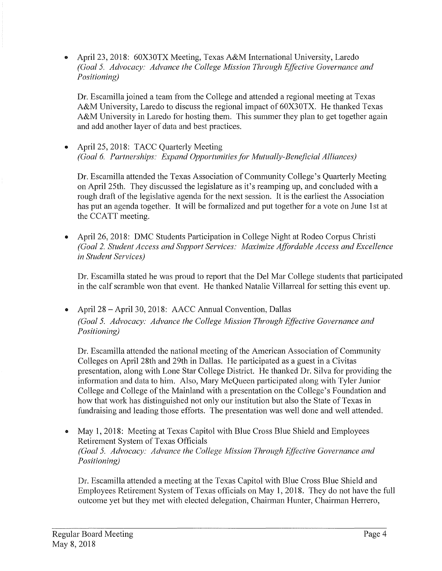• April 23, 2018: 60X30TX Meeting, Texas A&M International University, Laredo *(Goal 5. Advocacy: Advance the College Mission Through Effective Governance and Positioning)* 

Dr. Escamilla joined a team from the College and attended a regional meeting at Texas A&M University, Laredo to discuss the regional impact of 60X30TX. He thanked Texas A&M University in Laredo for hosting them. This summer they plan to get together again and add another layer of data and best practices.

April 25, 2018: TACC Quarterly Meeting *(Goal 6. Partnerships: Expand Opportunities for Mutually-Beneficial Alliances)* 

Dr. Escamilla attended the Texas Association of Community College's Quarterly Meeting on April 25th. They discussed the legislature as it's reamping up, and concluded with a rough draft of the legislative agenda for the next session. It is the earliest the Association has put an agenda together. It will be formalized and put together for a vote on June 1st at the CCATT meeting.

• April 26, 2018: DMC Students Participation in College Night at Rodeo Corpus Christi *(Goal 2. Student Access and Support Services: Maximize Affordable Access and Excellence in Student Services)* 

Dr. Escamilla stated he was proud to report that the Del Mar College students that participated in the calf scramble won that event. He thanked Natalie Villarreal for setting this event up.

• April 28-April 30, 2018: AACC Annual Convention, Dallas *(Goal 5. Advocacy: Advance the College Mission Through Effective Governance and Positioning)* 

Dr. Escamilla attended the national meeting of the American Association of Community Colleges on April 28th and 29th in Dallas. He participated as a guest in a Civitas presentation, along with Lone Star College District. He thanked Dr. Silva for providing the information and data to him. Also, Mary McQueen participated along with Tyler Junior College and College of the Mainland with a presentation on the College's Foundation and how that work has distinguished not only our institution but also the State of Texas in fundraising and leading those efforts. The presentation was well done and well attended.

• May 1, 2018: Meeting at Texas Capitol with Blue Cross Blue Shield and Employees Retirement System of Texas Officials *(Goal 5. Advocacy: Advance the College Mission Through Effective Governance and Positioning)* 

Dr. Escamilla attended a meeting at the Texas Capitol with Blue Cross Blue Shield and Employees Retirement System of Texas officials on May 1, 2018. They do not have the full outcome yet but they met with elected delegation, Chairman Hunter, Chairman Herrero,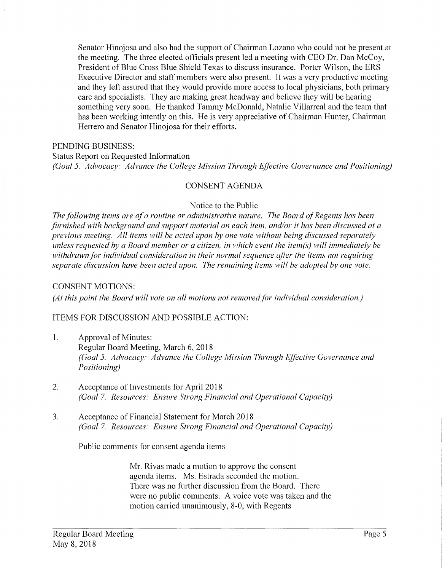Senator Hinojosa and also had the support of Chairman Lozano who could not be present at the meeting. The three elected officials present led a meeting with CEO Dr. Dan McCoy, President of Blue Cross Blue Shield Texas to discuss insurance. Porter Wilson, the ERS Executive Director and staff members were also present. It was a very productive meeting and they left assured that they would provide more access to local physicians, both primary care and specialists. They are making great headway and believe they will be hearing something very soon. He thanked Tammy McDonald, Natalie Villarreal and the team that has been working intently on this. He is very appreciative of Chairman Hunter, Chairman Herrero and Senator Hinojosa for their efforts.

#### PENDING BUSINESS:

Status Report on Requested Information *(Goal 5. Advocacy: Advance the College Mission Through Effective Governance and Positioning)* 

#### CONSENT AGENDA

#### Notice to the Public

*The following items are of a routine or administrative nature. The Board of Regents has been*  furnished with background and support material on each item, and/or it has been discussed at a *previous meeting. All items will be acted upon by one vote without being discussed separately unless requested by a Board member or a citizen, in which event the item(s) "Will immediately be withdrawn/or individual consideration in their normal sequence after the items not requiring separate discussion have been acted upon. The remaining items will be adopted by one vote.* 

#### CONSENT MOTIONS:

(At this point the Board will vote on all motions not removed for individual consideration.)

#### ITEMS FOR DISCUSSION AND POSSIBLE ACTION:

- 1. Approval of Minutes: Regular Board Meeting, March 6, 2018 *(Goal 5. Advocacy: Advance the College Mission Through Effective Governance and Positioning)*
- 2. Acceptance of Investments for April 2018 *(Goal* 7. *Resources: Ensure Strong Financial and Operational Capacity)*
- 3. Acceptance of Financial Statement for March 2018 *(Goal* 7. *Resources: Ensure Strong Financial and Operational Capacity)*

Public comments for consent agenda items

Mr. Rivas made a motion to approve the consent agenda items. Ms. Estrada seconded the motion. There was no further discussion from the Board. There were no public comments. A voice vote was taken and the motion carried unanimously, 8-0, with Regents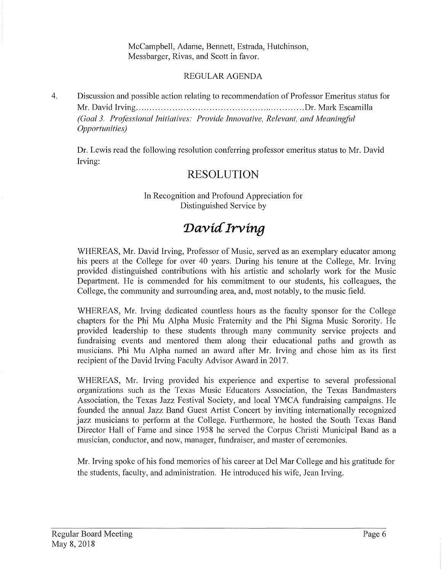McCampbell, Adame, Bennett, Estrada, Hutchinson, Messbarger, Rivas, and Scott in favor.

### REGULAR AGENDA

4. Discussion and possible action relating to recommendation of Professor Emeritus status for Mr. David Irving ............................................................ Dr. Mark Escamilla *(Goal 3. Professional Initiatives: Provide Innovative, Relevant, and Meaningful Opportunitie;,)* 

Dr. Lewis read the following resolution conferring professor emeritus status to Mr. David Irving:

# **RESOLUTION**

In Recognition and Profound Appreciation for Distinguished Service by

# David Irving

WHEREAS, Mr. David Irving, Professor of Music, served as an exemplary educator among his peers at the College for over 40 years. During his tenure at the College, Mr. Irving provided distinguished contributions with his artistic and scholarly work for the Music Department. He is commended for his commitment to our students, his colleagues, the College, the community and surrounding area, and, most notably, to the music field.

WHEREAS, Mr. Irving dedicated countless hours as the faculty sponsor for the College chapters for the Phi Mu Alpha Music Fraternity and the Phi Sigma Music Sorority. He provided leadership to these students through many community service projects and fundraising events and mentored them along their educational paths and growth as musicians. Phi Mu Alpha named an award after Mr. Irving and chose him as its first recipient of the David Irving Faculty Advisor Award in 2017.

WHEREAS, Mr. Irving provided his experience and expertise to several professional organizations such as the Texas Music Educators Association, the Texas Bandmasters Association, the Texas Jazz Festival Society, and local YMCA fundraising campaigns. He founded the annual Jazz Band Guest Artist Concert by inviting internationally recognized jazz musicians to perform at the College. Furthermore, he hosted the South Texas Band Director Hall of Fame and since 1958 he served the Corpus Christi Municipal Band as a musician, conductor, and now, manager, fundraiser, and master of ceremonies.

Mr. Irving spoke of his fond memories of his career at Del Mar College and his gratitude for the students, faculty, and administration. He introduced his wife, Jean Irving.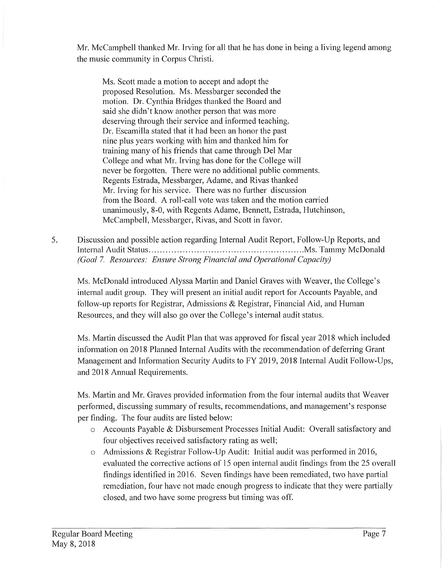Mr. McCampbell thanked Mr. Irving for all that he has done in being a living legend among the music community in Corpus Christi.

Ms. Scott made a motion to accept and adopt the proposed Resolution. Ms. Messbarger seconded the motion. Dr. Cynthia Bridges thanked the Board and said she didn't know another person that was more deserving through their service and informed teaching. Dr. Escamilla stated that it had been an honor the past nine plus years working with him and thanked him for training many of his friends that came through Del Mar College and what Mr. Irving has done for the College will never be forgotten. There were no additional public comments. Regents Estrada, Messbarger, Adame, and Rivas thanked Mr. Irving for his service. There was no further discussion from the Board. A roll-call vote was taken and the motion carried unanimously, 8-0, with Regents Adame, Bennett, Estrada, Hutchinson, Mccampbell, Messbarger, Rivas, and Scott in favor.

5. Discussion and possible action regarding Internal Audit Report, Follow-Up Reports, and Internal Audit Status ....................................................... Ms. Tammy McDonald *(Goal* 7. *Resources: Ensure Strong Financial and Operational Capacity)* 

Ms. McDonald introduced Alyssa Martin and Daniel Graves with Weaver, the College's internal audit group. They will present an initial audit report for Accounts Payable, and follow-up reports for Registrar, Admissions  $\&$  Registrar, Financial Aid, and Human Resources, and they will also go over the College's internal audit status.

Ms. Martin discussed the Audit Plan that was approved for fiscal year 2018 which included information on 2018 Planned Internal Audits with the recommendation of deferring Grant Management and Information Security Audits to FY 2019, 2018 Internal Audit Follow-Ups, and 2018 Annual Requirements.

Ms. Martin and Mr. Graves provided information from the four internal audits that Weaver performed, discussing summary of results, recommendations, and management's response per finding. The four audits are listed below:

- o Accounts Payable & Disbursement Processes Initial Audit: Overall satisfactory and four objectives received satisfactory rating as well;
- o Admissions & Registrar Follow-Up Audit: Initial audit was performed in 2016, evaluated the corrective actions of 15 open internal audit findings from the 25 overall findings identified in 2016. Seven findings have been remediated, two have partial remediation, four have not made enough progress to indicate that they were partially closed, and two have some progress but timing was off.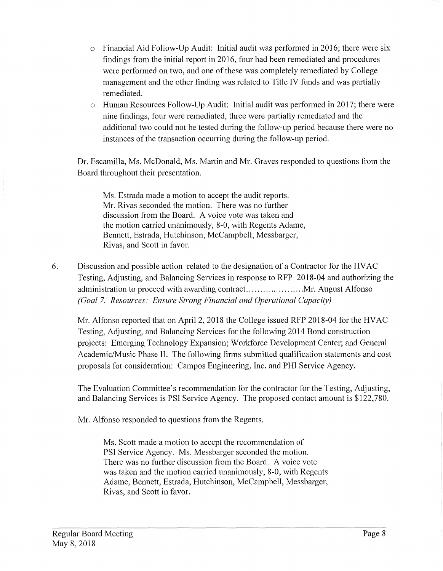- o Financial Aid Follow-Up Audit: Initial audit was performed in 2016; there were six findings from the initial report in 2016, four had been remediated and procedures were performed on two, and one of these was completely remediated by College management and the other finding was related to Title IV funds and was partially remediated.
- o Human Resources Follow-Up Audit: Initial audit was performed in 2017; there were nine findings, four were remediated, three were partially remediated and the additional two could not be tested during the follow-up period because there were no instances of the transaction occurring during the follow-up period.

Dr. Escamilla, Ms. McDonald, Ms. Martin and Mr. Graves responded to questions from the Board throughout their presentation.

Ms. Estrada made a motion to accept the audit reports. Mr. Rivas seconded the motion. There was no further discussion from the Board. A voice vote was taken and the motion carried unanimously, 8-0, with Regents Adame, Bennett, Estrada, Hutchinson, Mccampbell, Messbarger, Rivas, and Scott in favor.

6. Discussion and possible action related to the designation of a Contractor for the HVAC Testing, Adjusting, and Balancing Services in response to RFP 2018-04 and authorizing the administration to proceed with awarding contract ..................... Mr. August Alfonso *(Goal* 7. *Resources: Ensure Strong F;nancial and Operational Capacity)* 

Mr. Alfonso reported that on April 2, 2018 the College issued RFP 2018-04 for the HVAC Testing, Adjusting, and Balancing Services for the following 2014 Bond construction projects: Emerging Technology Expansion; Workforce Development Center; and General Academic/Music Phase II. The following firms submitted qualification statements and cost proposals for consideration: Campos Engineering, Inc. and PHI Service Agency.

The Evaluation Committee's recommendation for the contractor for the Testing, Adjusting, and Balancing Services is PSI Service Agency. The proposed contact amount is \$122,780.

Mr. Alfonso responded to questions from the Regents.

Ms. Scott made a motion to accept the recommendation of PSI Service Agency. Ms. Messbarger seconded the motion. There was no further discussion from the Board. A voice vote was taken and the motion carried unanimously, 8-0, with Regents Adame, Bennett, Estrada, Hutchinson, McCampbell, Messbarger, Rivas, and Scott in favor.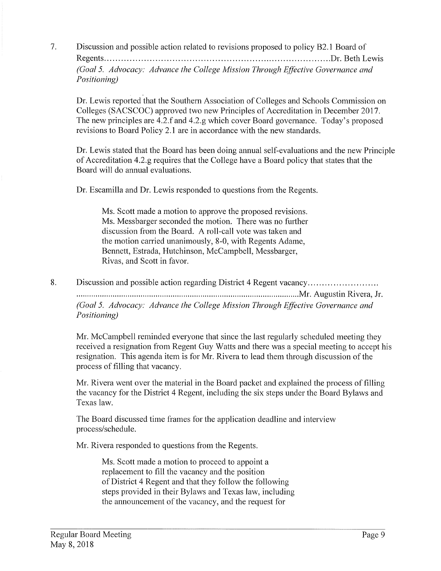7. Discussion and possible action related to revisions proposed to policy B2.1 Board of Regents ................................................................................ Dr. Beth Lewis *(Goal 5. Advocacy: Advance the College Mission Through Effective Governance and Positioning)* 

Dr. Lewis reported that the Southern Association of Colleges and Schools Commission on Colleges (SACSCOC) approved two new Principles of Accreditation in December 2017. The new principles are 4.2.f and 4.2.g which cover Board governance. Today's proposed revisions to Board Policy 2.1 are in accordance with the new standards.

Dr. Lewis stated that the Board has been doing annual self-evaluations and the new Principle of Accreditation 4.2.g requires that the College have a Board policy that states that the Board will do annual evaluations.

Dr. Escamilla and Dr. Lewis responded to questions from the Regents.

Ms. Scott made a motion to approve the proposed revisions. Ms. Messbarger seconded the motion. There was no further discussion from the Board. A roll-call vote was taken and the motion carried unanimously, 8-0, with Regents Adame, Bennett, Estrada, Hutchinson, Mccampbell, Messbarger, Rivas, and Scott in favor.

8. Discussion and possible action regarding District 4 Regent vacancy...............................

......... .. ..... ...... .. .... ... ... .. . .. ... ........ ... .. . .. .... .. .. .. ... .. .. .. .......... .. ... .. .......... Mr. Augustin Rivera, Jr.

*(Goal 5. Advocacy: Advance the College Nlission Through Effective Governance and Positioning)* 

Mr. McCampbell reminded everyone that since the last regularly scheduled meeting they received a resignation from Regent Guy Watts and there was a special meeting to accept his resignation. This agenda item is for Mr. Rivera to lead them through discussion of the process of filling that vacancy.

Mr. Rivera went over the material in the Board packet and explained the process of filling the vacancy for the District 4 Regent, including the six steps under the Board Bylaws and Texas law.

The Board discussed time frames for the application deadline and interview process/schedule.

Mr. Rivera responded to questions from the Regents.

Ms. Scott made a motion to proceed to appoint a replacement to fill the vacancy and the position of District 4 Regent and that they follow the following steps provided in their Bylaws and Texas law, including the announcement of the vacancy, and the request for